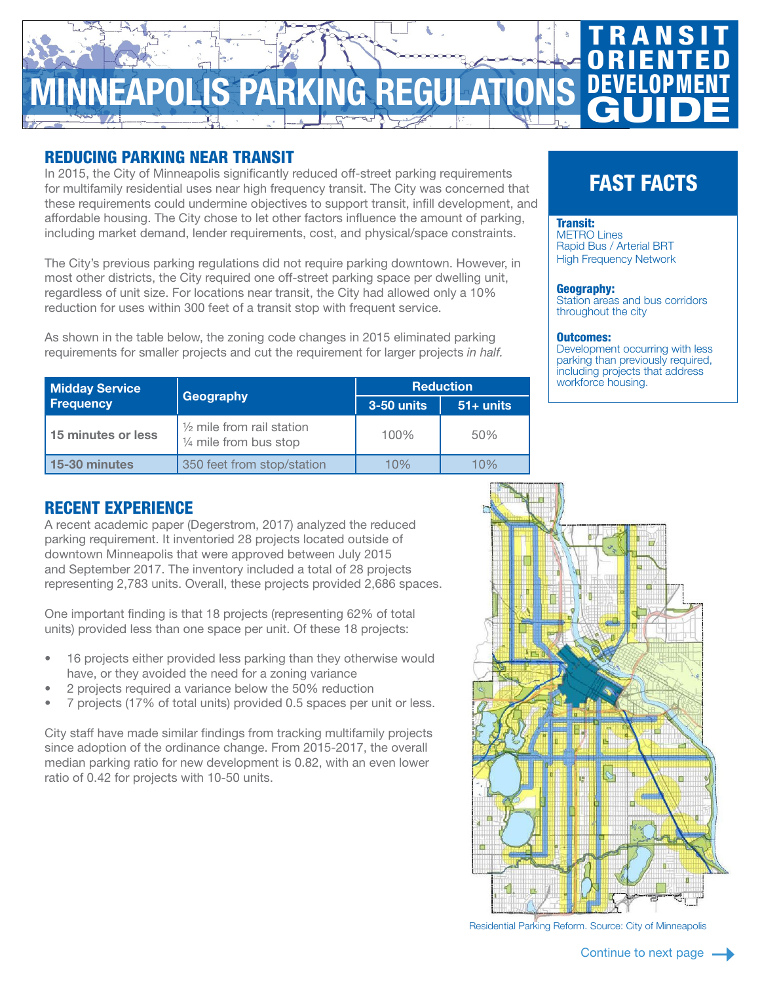# OLIS PARKING REGUL **TRANSIT ORIENTED** DEVELOPMENT **GUIDE**

## REDUCING PARKING NEAR TRANSIT

In 2015, the City of Minneapolis significantly reduced off-street parking requirements for multifamily residential uses near high frequency transit. The City was concerned that these requirements could undermine objectives to support transit, infill development, and affordable housing. The City chose to let other factors influence the amount of parking, including market demand, lender requirements, cost, and physical/space constraints.

The City's previous parking regulations did not require parking downtown. However, in most other districts, the City required one off-street parking space per dwelling unit, regardless of unit size. For locations near transit, the City had allowed only a 10% reduction for uses within 300 feet of a transit stop with frequent service.

As shown in the table below, the zoning code changes in 2015 eliminated parking requirements for smaller projects and cut the requirement for larger projects *in half.*

| <b>Midday Service</b><br><b>Frequency</b> | Geography                                                                | <b>Reduction</b> |             |
|-------------------------------------------|--------------------------------------------------------------------------|------------------|-------------|
|                                           |                                                                          | $3-50$ units     | $51+$ units |
| 15 minutes or less                        | $\frac{1}{2}$ mile from rail station<br>$\frac{1}{4}$ mile from bus stop | 100%             | 50%         |
| 15-30 minutes                             | 350 feet from stop/station                                               | 10%              | 10%         |

# FAST FACTS

#### Transit: [METRO Lines](https://www.metrotransit.org/metro-system) [Rapid Bus / Arterial BRT](https://www.metrotransit.org/abrt) [High Frequency Network](https://www.metrotransit.org/high-frequency-network)

### Geography:

Station areas and bus corridors throughout the city

### Outcomes:

Development occurring with less parking than previously required, including projects that address workforce housing.

# RECENT EXPERIENCE

A recent academic paper (Degerstrom, 2017) analyzed the reduced parking requirement. It inventoried 28 projects located outside of downtown Minneapolis that were approved between July 2015 and September 2017. The inventory included a total of 28 projects representing 2,783 units. Overall, these projects provided 2,686 spaces.

One important finding is that 18 projects (representing 62% of total units) provided less than one space per unit. Of these 18 projects:

- 16 projects either provided less parking than they otherwise would have, or they avoided the need for a zoning variance
- 2 projects required a variance below the 50% reduction
- 7 projects (17% of total units) provided 0.5 spaces per unit or less.

City staff have made similar findings from tracking multifamily projects since adoption of the ordinance change. From 2015-2017, the overall median parking ratio for new development is 0.82, with an even lower ratio of 0.42 for projects with 10-50 units.



Residential Parking Reform. Source: City of Minneapolis